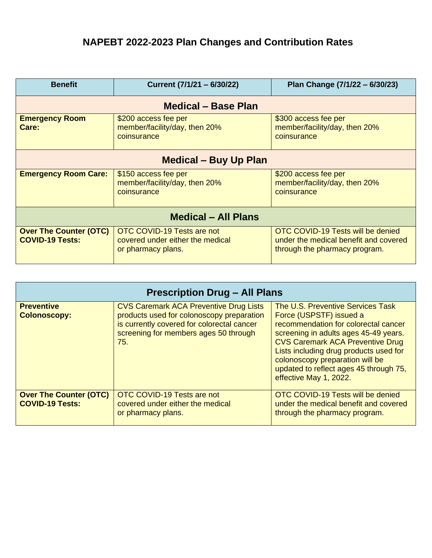## **NAPEBT 2022**‐**2023 Plan Changes and Contribution Rates**

| <b>Benefit</b>                                          | Current (7/1/21 - 6/30/22)                                                           | Plan Change (7/1/22 - 6/30/23)                                                                              |  |  |  |
|---------------------------------------------------------|--------------------------------------------------------------------------------------|-------------------------------------------------------------------------------------------------------------|--|--|--|
| <b>Medical – Base Plan</b>                              |                                                                                      |                                                                                                             |  |  |  |
| <b>Emergency Room</b><br>Care:                          | \$200 access fee per<br>member/facility/day, then 20%<br>coinsurance                 | \$300 access fee per<br>member/facility/day, then 20%<br>coinsurance                                        |  |  |  |
| <b>Medical – Buy Up Plan</b>                            |                                                                                      |                                                                                                             |  |  |  |
| <b>Emergency Room Care:</b>                             | \$150 access fee per<br>member/facility/day, then 20%<br>coinsurance                 | \$200 access fee per<br>member/facility/day, then 20%<br>coinsurance                                        |  |  |  |
| <b>Medical - All Plans</b>                              |                                                                                      |                                                                                                             |  |  |  |
| <b>Over The Counter (OTC)</b><br><b>COVID-19 Tests:</b> | OTC COVID-19 Tests are not<br>covered under either the medical<br>or pharmacy plans. | OTC COVID-19 Tests will be denied<br>under the medical benefit and covered<br>through the pharmacy program. |  |  |  |

| <b>Prescription Drug - All Plans</b>                    |                                                                                                                                                                                          |                                                                                                                                                                                                                                                                                                                                           |  |  |
|---------------------------------------------------------|------------------------------------------------------------------------------------------------------------------------------------------------------------------------------------------|-------------------------------------------------------------------------------------------------------------------------------------------------------------------------------------------------------------------------------------------------------------------------------------------------------------------------------------------|--|--|
| <b>Preventive</b><br><b>Colonoscopy:</b>                | <b>CVS Caremark ACA Preventive Drug Lists</b><br>products used for colonoscopy preparation<br>is currently covered for colorectal cancer<br>screening for members ages 50 through<br>75. | The U.S. Preventive Services Task<br>Force (USPSTF) issued a<br>recommendation for colorectal cancer<br>screening in adults ages 45-49 years.<br><b>CVS Caremark ACA Preventive Drug</b><br>Lists including drug products used for<br>colonoscopy preparation will be<br>updated to reflect ages 45 through 75,<br>effective May 1, 2022. |  |  |
| <b>Over The Counter (OTC)</b><br><b>COVID-19 Tests:</b> | OTC COVID-19 Tests are not<br>covered under either the medical<br>or pharmacy plans.                                                                                                     | OTC COVID-19 Tests will be denied<br>under the medical benefit and covered<br>through the pharmacy program.                                                                                                                                                                                                                               |  |  |